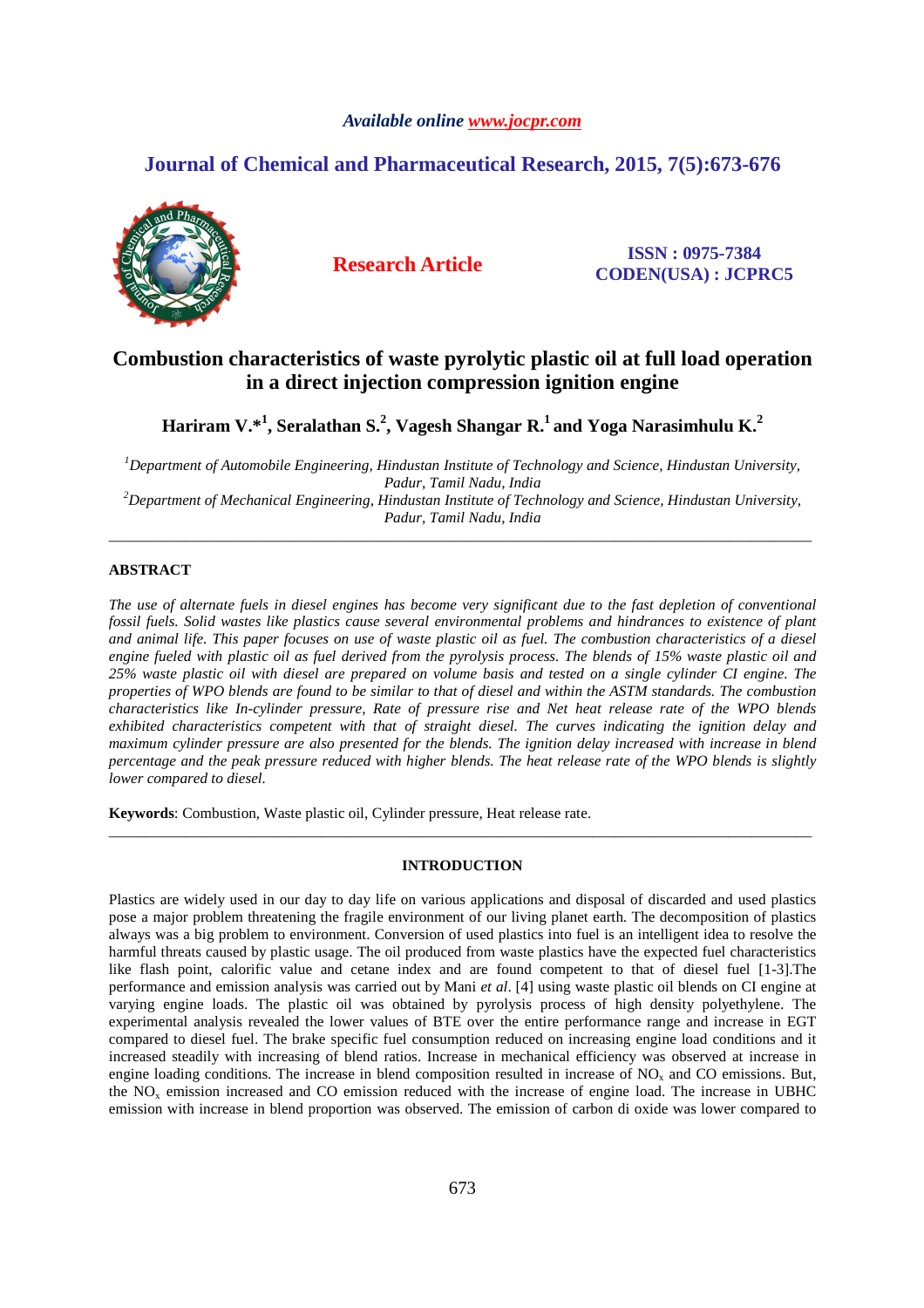# *Available online www.jocpr.com*

# **Journal of Chemical and Pharmaceutical Research, 2015, 7(5):673-676**



**Research Article ISSN : 0975-7384 CODEN(USA) : JCPRC5**

# **Combustion characteristics of waste pyrolytic plastic oil at full load operation in a direct injection compression ignition engine**

**Hariram V.\*<sup>1</sup> , Seralathan S.<sup>2</sup> , Vagesh Shangar R.<sup>1</sup>and Yoga Narasimhulu K.<sup>2</sup>**

*<sup>1</sup>Department of Automobile Engineering, Hindustan Institute of Technology and Science, Hindustan University, Padur, Tamil Nadu, India <sup>2</sup>Department of Mechanical Engineering, Hindustan Institute of Technology and Science, Hindustan University, Padur, Tamil Nadu, India* 

\_\_\_\_\_\_\_\_\_\_\_\_\_\_\_\_\_\_\_\_\_\_\_\_\_\_\_\_\_\_\_\_\_\_\_\_\_\_\_\_\_\_\_\_\_\_\_\_\_\_\_\_\_\_\_\_\_\_\_\_\_\_\_\_\_\_\_\_\_\_\_\_\_\_\_\_\_\_\_\_\_\_\_\_\_\_\_\_\_\_\_\_\_

# **ABSTRACT**

*The use of alternate fuels in diesel engines has become very significant due to the fast depletion of conventional fossil fuels. Solid wastes like plastics cause several environmental problems and hindrances to existence of plant and animal life. This paper focuses on use of waste plastic oil as fuel. The combustion characteristics of a diesel engine fueled with plastic oil as fuel derived from the pyrolysis process. The blends of 15% waste plastic oil and 25% waste plastic oil with diesel are prepared on volume basis and tested on a single cylinder CI engine. The properties of WPO blends are found to be similar to that of diesel and within the ASTM standards. The combustion characteristics like In-cylinder pressure, Rate of pressure rise and Net heat release rate of the WPO blends exhibited characteristics competent with that of straight diesel. The curves indicating the ignition delay and maximum cylinder pressure are also presented for the blends. The ignition delay increased with increase in blend percentage and the peak pressure reduced with higher blends. The heat release rate of the WPO blends is slightly lower compared to diesel.* 

**Keywords**: Combustion, Waste plastic oil, Cylinder pressure, Heat release rate.

# **INTRODUCTION**

\_\_\_\_\_\_\_\_\_\_\_\_\_\_\_\_\_\_\_\_\_\_\_\_\_\_\_\_\_\_\_\_\_\_\_\_\_\_\_\_\_\_\_\_\_\_\_\_\_\_\_\_\_\_\_\_\_\_\_\_\_\_\_\_\_\_\_\_\_\_\_\_\_\_\_\_\_\_\_\_\_\_\_\_\_\_\_\_\_\_\_\_\_

Plastics are widely used in our day to day life on various applications and disposal of discarded and used plastics pose a major problem threatening the fragile environment of our living planet earth. The decomposition of plastics always was a big problem to environment. Conversion of used plastics into fuel is an intelligent idea to resolve the harmful threats caused by plastic usage. The oil produced from waste plastics have the expected fuel characteristics like flash point, calorific value and cetane index and are found competent to that of diesel fuel [1-3].The performance and emission analysis was carried out by Mani *et al*. [4] using waste plastic oil blends on CI engine at varying engine loads. The plastic oil was obtained by pyrolysis process of high density polyethylene. The experimental analysis revealed the lower values of BTE over the entire performance range and increase in EGT compared to diesel fuel. The brake specific fuel consumption reduced on increasing engine load conditions and it increased steadily with increasing of blend ratios. Increase in mechanical efficiency was observed at increase in engine loading conditions. The increase in blend composition resulted in increase of  $NO<sub>x</sub>$  and CO emissions. But, the  $NO<sub>x</sub>$  emission increased and CO emission reduced with the increase of engine load. The increase in UBHC emission with increase in blend proportion was observed. The emission of carbon di oxide was lower compared to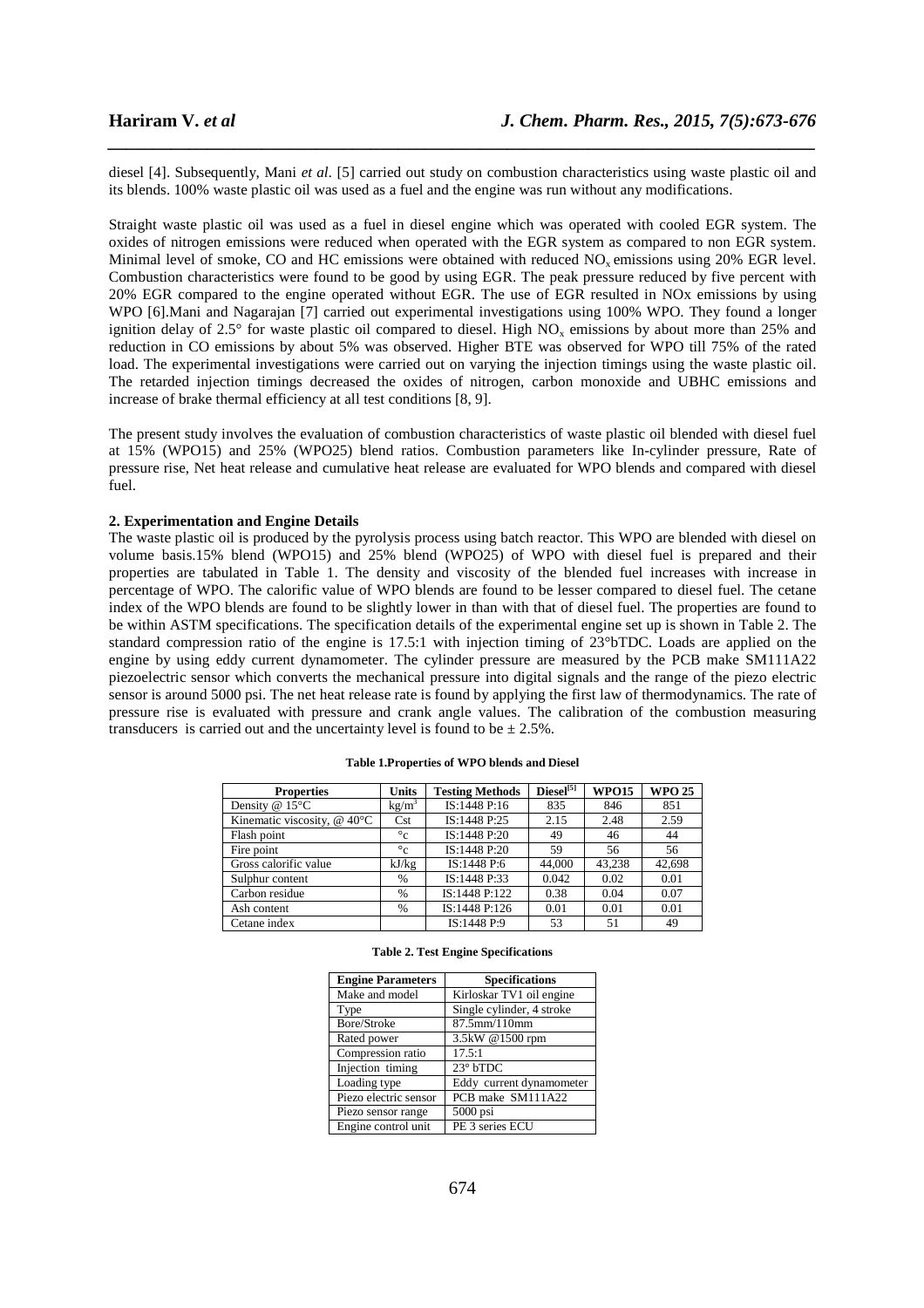diesel [4]. Subsequently, Mani *et al.* [5] carried out study on combustion characteristics using waste plastic oil and its blends. 100% waste plastic oil was used as a fuel and the engine was run without any modifications.

*\_\_\_\_\_\_\_\_\_\_\_\_\_\_\_\_\_\_\_\_\_\_\_\_\_\_\_\_\_\_\_\_\_\_\_\_\_\_\_\_\_\_\_\_\_\_\_\_\_\_\_\_\_\_\_\_\_\_\_\_\_\_\_\_\_\_\_\_\_\_\_\_\_\_\_\_\_\_*

Straight waste plastic oil was used as a fuel in diesel engine which was operated with cooled EGR system. The oxides of nitrogen emissions were reduced when operated with the EGR system as compared to non EGR system. Minimal level of smoke, CO and HC emissions were obtained with reduced NO<sub>x</sub> emissions using 20% EGR level. Combustion characteristics were found to be good by using EGR. The peak pressure reduced by five percent with 20% EGR compared to the engine operated without EGR. The use of EGR resulted in NOx emissions by using WPO [6].Mani and Nagarajan [7] carried out experimental investigations using 100% WPO. They found a longer ignition delay of 2.5° for waste plastic oil compared to diesel. High  $NO<sub>x</sub>$  emissions by about more than 25% and reduction in CO emissions by about 5% was observed. Higher BTE was observed for WPO till 75% of the rated load. The experimental investigations were carried out on varying the injection timings using the waste plastic oil. The retarded injection timings decreased the oxides of nitrogen, carbon monoxide and UBHC emissions and increase of brake thermal efficiency at all test conditions [8, 9].

The present study involves the evaluation of combustion characteristics of waste plastic oil blended with diesel fuel at 15% (WPO15) and 25% (WPO25) blend ratios. Combustion parameters like In-cylinder pressure, Rate of pressure rise, Net heat release and cumulative heat release are evaluated for WPO blends and compared with diesel fuel.

### **2. Experimentation and Engine Details**

The waste plastic oil is produced by the pyrolysis process using batch reactor. This WPO are blended with diesel on volume basis.15% blend (WPO15) and 25% blend (WPO25) of WPO with diesel fuel is prepared and their properties are tabulated in Table 1. The density and viscosity of the blended fuel increases with increase in percentage of WPO. The calorific value of WPO blends are found to be lesser compared to diesel fuel. The cetane index of the WPO blends are found to be slightly lower in than with that of diesel fuel. The properties are found to be within ASTM specifications. The specification details of the experimental engine set up is shown in Table 2. The standard compression ratio of the engine is 17.5:1 with injection timing of 23°bTDC. Loads are applied on the engine by using eddy current dynamometer. The cylinder pressure are measured by the PCB make SM111A22 piezoelectric sensor which converts the mechanical pressure into digital signals and the range of the piezo electric sensor is around 5000 psi. The net heat release rate is found by applying the first law of thermodynamics. The rate of pressure rise is evaluated with pressure and crank angle values. The calibration of the combustion measuring transducers is carried out and the uncertainty level is found to be  $\pm 2.5\%$ .

| <b>Properties</b>                | <b>Units</b>      | <b>Testing Methods</b> | $\text{Diesel}^{[5]}$ | <b>WPO15</b> | <b>WPO 25</b> |
|----------------------------------|-------------------|------------------------|-----------------------|--------------|---------------|
| Density @ 15°C                   | kg/m <sup>3</sup> | IS:1448 P:16           | 835                   | 846          | 851           |
| Kinematic viscosity, $@$ 40 $°C$ | Cst               | IS:1448 P:25           | 2.15                  | 2.48         | 2.59          |
| Flash point                      | $\circ$ c         | IS:1448 P:20           | 49                    | 46           | 44            |
| Fire point                       | $\circ$ c         | IS:1448 P:20           | 59                    | 56           | 56            |
| Gross calorific value            | kJ/kg             | IS:1448 P:6            | 44,000                | 43,238       | 42,698        |
| Sulphur content                  | %                 | IS:1448 P:33           | 0.042                 | 0.02         | 0.01          |
| Carbon residue                   | %                 | IS:1448 P:122          | 0.38                  | 0.04         | 0.07          |
| Ash content                      | %                 | IS:1448 P:126          | 0.01                  | 0.01         | 0.01          |
| Cetane index                     |                   | IS:1448 P:9            | 53                    | 51           | 49            |

|  |  |  | <b>Table 2. Test Engine Specifications</b> |  |
|--|--|--|--------------------------------------------|--|
|--|--|--|--------------------------------------------|--|

| <b>Engine Parameters</b> | <b>Specifications</b>     |
|--------------------------|---------------------------|
| Make and model           | Kirloskar TV1 oil engine  |
| Type                     | Single cylinder, 4 stroke |
| Bore/Stroke              | 87.5mm/110mm              |
| Rated power              | 3.5kW @1500 rpm           |
| Compression ratio        | 17.5:1                    |
| Injection timing         | $23°$ bTDC                |
| Loading type             | Eddy current dynamometer  |
| Piezo electric sensor    | PCB make SM111A22         |
| Piezo sensor range       | 5000 psi                  |
| Engine control unit      | PE 3 series ECU           |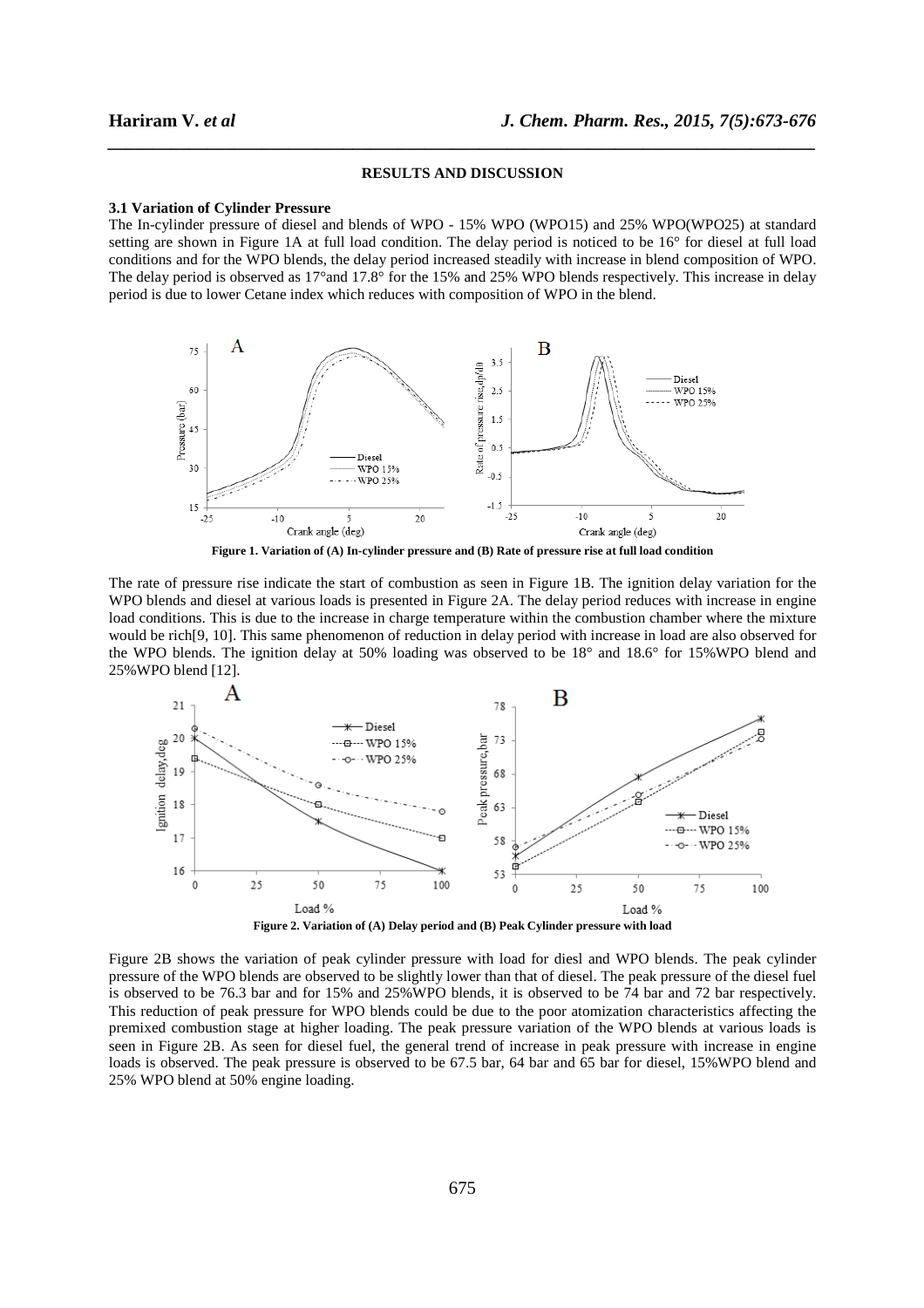#### **RESULTS AND DISCUSSION**

*\_\_\_\_\_\_\_\_\_\_\_\_\_\_\_\_\_\_\_\_\_\_\_\_\_\_\_\_\_\_\_\_\_\_\_\_\_\_\_\_\_\_\_\_\_\_\_\_\_\_\_\_\_\_\_\_\_\_\_\_\_\_\_\_\_\_\_\_\_\_\_\_\_\_\_\_\_\_*

#### **3.1 Variation of Cylinder Pressure**

The In-cylinder pressure of diesel and blends of WPO - 15% WPO (WPO15) and 25% WPO(WPO25) at standard setting are shown in Figure 1A at full load condition. The delay period is noticed to be 16° for diesel at full load conditions and for the WPO blends, the delay period increased steadily with increase in blend composition of WPO. The delay period is observed as 17° and 17.8° for the 15% and 25% WPO blends respectively. This increase in delay period is due to lower Cetane index which reduces with composition of WPO in the blend.



**Figure 1. Variation of (A) In-cylinder pressure and (B) Rate of pressure rise at full load condition** 

The rate of pressure rise indicate the start of combustion as seen in Figure 1B. The ignition delay variation for the WPO blends and diesel at various loads is presented in Figure 2A. The delay period reduces with increase in engine load conditions. This is due to the increase in charge temperature within the combustion chamber where the mixture would be rich[9, 10]. This same phenomenon of reduction in delay period with increase in load are also observed for the WPO blends. The ignition delay at 50% loading was observed to be 18° and 18.6° for 15%WPO blend and 25%WPO blend [12].



Figure 2B shows the variation of peak cylinder pressure with load for diesl and WPO blends. The peak cylinder pressure of the WPO blends are observed to be slightly lower than that of diesel. The peak pressure of the diesel fuel is observed to be 76.3 bar and for 15% and 25%WPO blends, it is observed to be 74 bar and 72 bar respectively. This reduction of peak pressure for WPO blends could be due to the poor atomization characteristics affecting the premixed combustion stage at higher loading. The peak pressure variation of the WPO blends at various loads is seen in Figure 2B. As seen for diesel fuel, the general trend of increase in peak pressure with increase in engine loads is observed. The peak pressure is observed to be 67.5 bar, 64 bar and 65 bar for diesel, 15%WPO blend and 25% WPO blend at 50% engine loading.